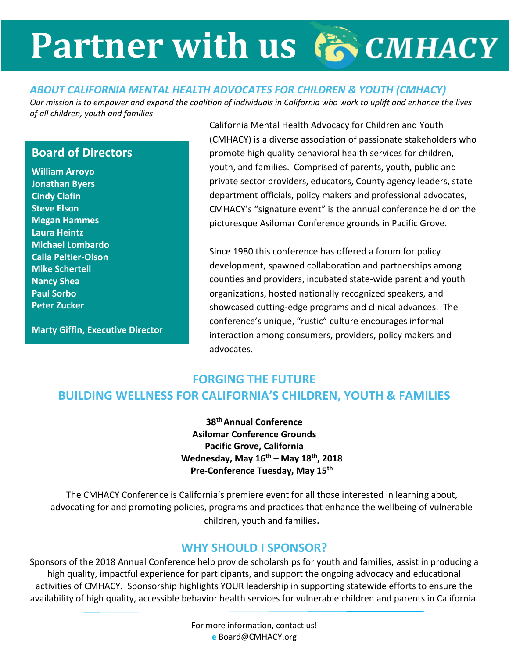# **Partner with us**

### *ABOUT CALIFORNIA MENTAL HEALTH ADVOCATES FOR CHILDREN & YOUTH (CMHACY)*

*Our mission is to empower and expand the coalition of individuals in California who work to uplift and enhance the lives of all children, youth and families*

### **Board of Directors**

**William Arroyo Jonathan Byers Cindy Clafin Steve Elson Megan Hammes Laura Heintz Michael Lombardo Calla Peltier-Olson Mike Schertell Nancy Shea Paul Sorbo Peter Zucker**

**Marty Giffin, Executive Director**

California Mental Health Advocacy for Children and Youth (CMHACY) is a diverse association of passionate stakeholders who promote high quality behavioral health services for children, youth, and families. Comprised of parents, youth, public and private sector providers, educators, County agency leaders, state department officials, policy makers and professional advocates, CMHACY's "signature event" is the annual conference held on the picturesque Asilomar Conference grounds in Pacific Grove.

Since 1980 this conference has offered a forum for policy development, spawned collaboration and partnerships among counties and providers, incubated state-wide parent and youth organizations, hosted nationally recognized speakers, and showcased cutting-edge programs and clinical advances. The conference's unique, "rustic" culture encourages informal interaction among consumers, providers, policy makers and advocates.

## **FORGING THE FUTURE BUILDING WELLNESS FOR CALIFORNIA'S CHILDREN, YOUTH & FAMILIES**

**38th Annual Conference Asilomar Conference Grounds Pacific Grove, California Wednesday, May 16th – May 18th, 2018 Pre-Conference Tuesday, May 15th**

The CMHACY Conference is California's premiere event for all those interested in learning about, advocating for and promoting policies, programs and practices that enhance the wellbeing of vulnerable children, youth and families.

### **WHY SHOULD I SPONSOR?**

Sponsors of the 2018 Annual Conference help provide scholarships for youth and families, assist in producing a high quality, impactful experience for participants, and support the ongoing advocacy and educational activities of CMHACY. Sponsorship highlights YOUR leadership in supporting statewide efforts to ensure the availability of high quality, accessible behavior health services for vulnerable children and parents in California.

> For more information, contact us! **e** Board@CMHACY.org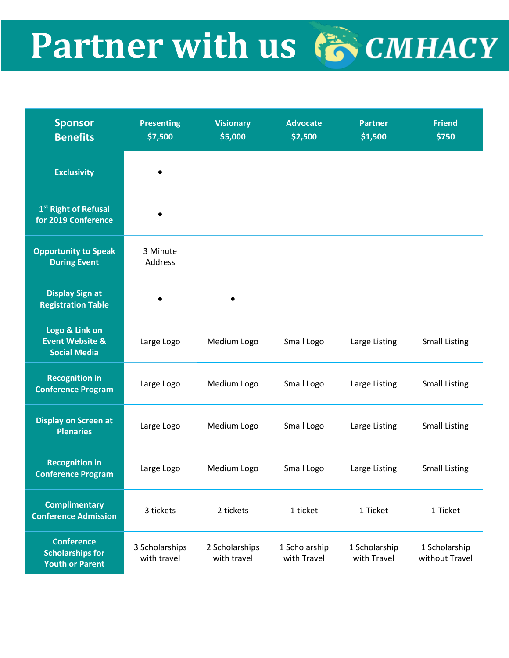# Partner with us 倚 CMHACY

| <b>Sponsor</b><br><b>Benefits</b>                                      | <b>Presenting</b><br>\$7,500  | <b>Visionary</b><br>\$5,000   | <b>Advocate</b><br>\$2,500   | <b>Partner</b><br>\$1,500    | <b>Friend</b><br>\$750          |
|------------------------------------------------------------------------|-------------------------------|-------------------------------|------------------------------|------------------------------|---------------------------------|
| <b>Exclusivity</b>                                                     |                               |                               |                              |                              |                                 |
| 1 <sup>st</sup> Right of Refusal<br>for 2019 Conference                |                               |                               |                              |                              |                                 |
| <b>Opportunity to Speak</b><br><b>During Event</b>                     | 3 Minute<br>Address           |                               |                              |                              |                                 |
| <b>Display Sign at</b><br><b>Registration Table</b>                    |                               |                               |                              |                              |                                 |
| Logo & Link on<br><b>Event Website &amp;</b><br><b>Social Media</b>    | Large Logo                    | Medium Logo                   | Small Logo                   | Large Listing                | <b>Small Listing</b>            |
| <b>Recognition in</b><br><b>Conference Program</b>                     | Large Logo                    | Medium Logo                   | Small Logo                   | Large Listing                | <b>Small Listing</b>            |
| <b>Display on Screen at</b><br><b>Plenaries</b>                        | Large Logo                    | Medium Logo                   | Small Logo                   | Large Listing                | <b>Small Listing</b>            |
| <b>Recognition in</b><br><b>Conference Program</b>                     | Large Logo                    | Medium Logo                   | Small Logo                   | Large Listing                | <b>Small Listing</b>            |
| <b>Complimentary</b><br><b>Conference Admission</b>                    | 3 tickets                     | 2 tickets                     | 1 ticket                     | 1 Ticket                     | 1 Ticket                        |
| <b>Conference</b><br><b>Scholarships for</b><br><b>Youth or Parent</b> | 3 Scholarships<br>with travel | 2 Scholarships<br>with travel | 1 Scholarship<br>with Travel | 1 Scholarship<br>with Travel | 1 Scholarship<br>without Travel |